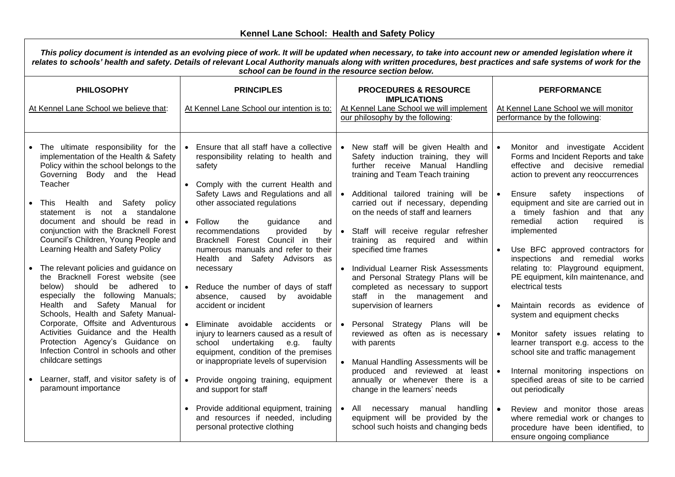| This policy document is intended as an evolving piece of work. It will be updated when necessary, to take into account new or amended legislation where it<br>relates to schools' health and safety. Details of relevant Local Authority manuals along with written procedures, best practices and safe systems of work for the<br>school can be found in the resource section below. |                                                                                                                                                                                                                     |                                                                                                                                                                                                           |  |                                                                                                                                                                                                    |           |                                                                                                                                                                                                        |
|---------------------------------------------------------------------------------------------------------------------------------------------------------------------------------------------------------------------------------------------------------------------------------------------------------------------------------------------------------------------------------------|---------------------------------------------------------------------------------------------------------------------------------------------------------------------------------------------------------------------|-----------------------------------------------------------------------------------------------------------------------------------------------------------------------------------------------------------|--|----------------------------------------------------------------------------------------------------------------------------------------------------------------------------------------------------|-----------|--------------------------------------------------------------------------------------------------------------------------------------------------------------------------------------------------------|
| <b>PHILOSOPHY</b><br>At Kennel Lane School we believe that:                                                                                                                                                                                                                                                                                                                           |                                                                                                                                                                                                                     | <b>PRINCIPLES</b><br>At Kennel Lane School our intention is to:                                                                                                                                           |  | <b>PROCEDURES &amp; RESOURCE</b><br><b>IMPLICATIONS</b><br>At Kennel Lane School we will implement<br>our philosophy by the following:                                                             |           | <b>PERFORMANCE</b><br>At Kennel Lane School we will monitor<br>performance by the following:                                                                                                           |
|                                                                                                                                                                                                                                                                                                                                                                                       | The ultimate responsibility for the<br>implementation of the Health & Safety<br>Policy within the school belongs to the<br>Governing Body and the Head<br>Teacher                                                   | Ensure that all staff have a collective<br>responsibility relating to health and<br>safety<br>Comply with the current Health and                                                                          |  | • New staff will be given Health and<br>Safety induction training, they will<br>further receive Manual Handling<br>training and Team Teach training                                                |           | Monitor and investigate Accident<br>Forms and Incident Reports and take<br>effective and decisive remedial<br>action to prevent any reoccurrences                                                      |
|                                                                                                                                                                                                                                                                                                                                                                                       | This Health<br>and Safety policy<br>statement is not a standalone<br>document and should be read in<br>conjunction with the Bracknell Forest<br>Council's Children, Young People and                                | Safety Laws and Regulations and all<br>other associated regulations<br>$\bullet$<br>Follow<br>guidance<br>the<br>and<br>recommendations<br>provided<br>by<br>Bracknell Forest Council in their            |  | • Additional tailored training will be   •<br>carried out if necessary, depending<br>on the needs of staff and learners<br>Staff will receive regular refresher<br>training as required and within |           | safety inspections<br>of<br>Ensure<br>equipment and site are carried out in<br>a timely fashion and that any<br>remedial<br>is<br>action<br>required<br>implemented                                    |
|                                                                                                                                                                                                                                                                                                                                                                                       | Learning Health and Safety Policy<br>The relevant policies and guidance on<br>the Bracknell Forest website (see<br>below) should be adhered to<br>especially the following Manuals;<br>Health and Safety Manual for | numerous manuals and refer to their<br>Health and Safety Advisors as<br>necessary<br>Reduce the number of days of staff<br>$\bullet$<br>caused<br>by avoidable<br>absence,<br>accident or incident        |  | specified time frames<br>Individual Learner Risk Assessments<br>and Personal Strategy Plans will be<br>completed as necessary to support<br>staff in the management and<br>supervision of learners |           | Use BFC approved contractors for<br>inspections and remedial works<br>relating to: Playground equipment,<br>PE equipment, kiln maintenance, and<br>electrical tests<br>Maintain records as evidence of |
|                                                                                                                                                                                                                                                                                                                                                                                       | Schools, Health and Safety Manual-<br>Corporate, Offsite and Adventurous<br>Activities Guidance and the Health<br>Protection Agency's Guidance on<br>Infection Control in schools and other<br>childcare settings   | Eliminate avoidable accidents or<br>injury to learners caused as a result of<br>undertaking<br>school<br>e.g.<br>faulty<br>equipment, condition of the premises<br>or inappropriate levels of supervision |  | • Personal Strategy Plans will be<br>reviewed as often as is necessary<br>with parents<br>• Manual Handling Assessments will be                                                                    |           | system and equipment checks<br>Monitor safety issues relating to<br>learner transport e.g. access to the<br>school site and traffic management                                                         |
|                                                                                                                                                                                                                                                                                                                                                                                       | Learner, staff, and visitor safety is of<br>paramount importance                                                                                                                                                    | Provide ongoing training, equipment<br>$\bullet$<br>and support for staff                                                                                                                                 |  | produced and reviewed at least<br>annually or whenever there is a<br>change in the learners' needs                                                                                                 | $\bullet$ | Internal monitoring inspections on<br>specified areas of site to be carried<br>out periodically                                                                                                        |
|                                                                                                                                                                                                                                                                                                                                                                                       |                                                                                                                                                                                                                     | Provide additional equipment, training<br>and resources if needed, including<br>personal protective clothing                                                                                              |  | $\bullet$ All<br>handling  <br>necessary<br>manual<br>equipment will be provided by the<br>school such hoists and changing beds                                                                    | $\bullet$ | Review and monitor those areas<br>where remedial work or changes to<br>procedure have been identified, to<br>ensure ongoing compliance                                                                 |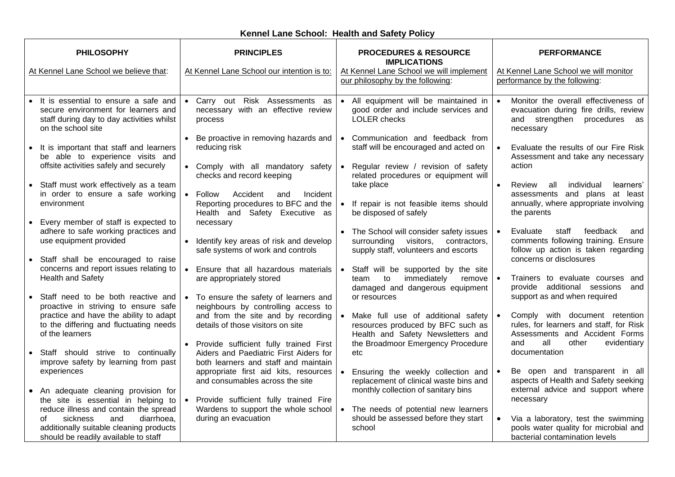| <b>PHILOSOPHY</b>                                                                                                                                                                                      | <b>PRINCIPLES</b>                                                                                                                     | <b>PROCEDURES &amp; RESOURCE</b><br><b>IMPLICATIONS</b>                                                                          | <b>PERFORMANCE</b>                                                                                                            |
|--------------------------------------------------------------------------------------------------------------------------------------------------------------------------------------------------------|---------------------------------------------------------------------------------------------------------------------------------------|----------------------------------------------------------------------------------------------------------------------------------|-------------------------------------------------------------------------------------------------------------------------------|
| At Kennel Lane School we believe that:                                                                                                                                                                 | At Kennel Lane School our intention is to:                                                                                            | At Kennel Lane School we will implement<br>our philosophy by the following:                                                      | At Kennel Lane School we will monitor<br>performance by the following:                                                        |
| It is essential to ensure a safe and<br>secure environment for learners and<br>staff during day to day activities whilst<br>on the school site                                                         | • Carry out Risk Assessments as<br>necessary with an effective review<br>process                                                      | • All equipment will be maintained in<br>good order and include services and<br><b>LOLER</b> checks                              | Monitor the overall effectiveness of<br>evacuation during fire drills, review<br>and strengthen<br>procedures as<br>necessary |
| It is important that staff and learners<br>be able to experience visits and<br>offsite activities safely and securely                                                                                  | Be proactive in removing hazards and<br>reducing risk<br>• Comply with all mandatory safety                                           | • Communication and feedback from<br>staff will be encouraged and acted on<br>Regular review / revision of safety                | Evaluate the results of our Fire Risk<br>Assessment and take any necessary<br>action                                          |
| Staff must work effectively as a team<br>in order to ensure a safe working<br>environment                                                                                                              | checks and record keeping<br>$\bullet$<br>Follow<br>Accident<br>Incident<br>and<br>Reporting procedures to BFC and the                | related procedures or equipment will<br>take place<br>• If repair is not feasible items should                                   | individual<br>Review<br>all<br>learners'<br>assessments and plans at least<br>annually, where appropriate involving           |
| Every member of staff is expected to<br>$\bullet$<br>adhere to safe working practices and<br>use equipment provided                                                                                    | Health and Safety Executive as<br>necessary                                                                                           | be disposed of safely<br>• The School will consider safety issues                                                                | the parents<br>Evaluate<br>feedback<br>staff<br>and                                                                           |
| Staff shall be encouraged to raise<br>concerns and report issues relating to                                                                                                                           | Identify key areas of risk and develop<br>safe systems of work and controls<br>Ensure that all hazardous materials<br>$\bullet$       | surrounding<br>visitors,<br>contractors,<br>supply staff, volunteers and escorts<br>• Staff will be supported by the site        | comments following training. Ensure<br>follow up action is taken regarding<br>concerns or disclosures                         |
| Health and Safety<br>Staff need to be both reactive and                                                                                                                                                | are appropriately stored<br>To ensure the safety of learners and                                                                      | immediately<br>remove<br>team<br>to<br>damaged and dangerous equipment<br>or resources                                           | Trainers to evaluate courses and<br>provide additional sessions<br>and<br>support as and when required                        |
| proactive in striving to ensure safe<br>practice and have the ability to adapt<br>to the differing and fluctuating needs<br>of the learners                                                            | neighbours by controlling access to<br>and from the site and by recording<br>details of those visitors on site                        | • Make full use of additional safety<br>resources produced by BFC such as<br>Health and Safety Newsletters and                   | Comply with document retention<br>rules, for learners and staff, for Risk<br>Assessments and Accident Forms                   |
| Staff should strive to continually<br>improve safety by learning from past                                                                                                                             | Provide sufficient fully trained First<br>$\bullet$<br>Aiders and Paediatric First Aiders for<br>both learners and staff and maintain | the Broadmoor Emergency Procedure<br>etc                                                                                         | all<br>other<br>evidentiary<br>and<br>documentation                                                                           |
| experiences<br>An adequate cleaning provision for<br>$\bullet$                                                                                                                                         | appropriate first aid kits, resources<br>and consumables across the site                                                              | Ensuring the weekly collection and<br>$\bullet$<br>replacement of clinical waste bins and<br>monthly collection of sanitary bins | Be open and transparent in all<br>aspects of Health and Safety seeking<br>external advice and support where                   |
| the site is essential in helping to<br>reduce illness and contain the spread<br>sickness<br>diarrhoea,<br>and<br>οf<br>additionally suitable cleaning products<br>should be readily available to staff | $\bullet$<br>Provide sufficient fully trained Fire<br>Wardens to support the whole school<br>during an evacuation                     | • The needs of potential new learners<br>should be assessed before they start<br>school                                          | necessary<br>Via a laboratory, test the swimming<br>pools water quality for microbial and<br>bacterial contamination levels   |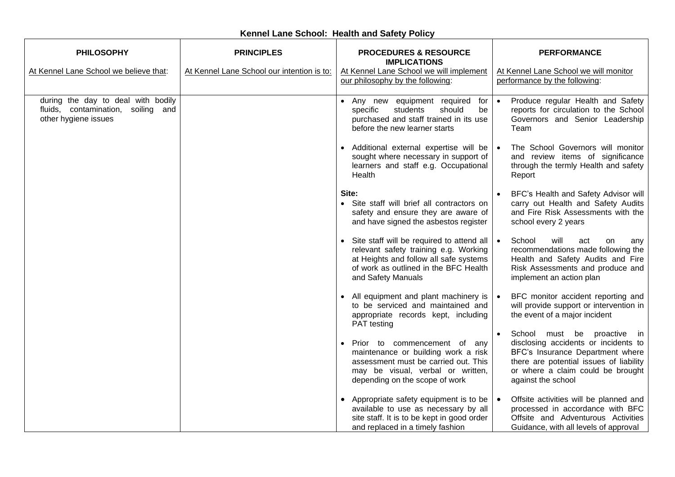| <b>PHILOSOPHY</b>                                                                                | <b>PRINCIPLES</b>                          | <b>PROCEDURES &amp; RESOURCE</b><br><b>PERFORMANCE</b><br><b>IMPLICATIONS</b>                                                                                                                                                                                                                                                                                                                       |     |
|--------------------------------------------------------------------------------------------------|--------------------------------------------|-----------------------------------------------------------------------------------------------------------------------------------------------------------------------------------------------------------------------------------------------------------------------------------------------------------------------------------------------------------------------------------------------------|-----|
| At Kennel Lane School we believe that:                                                           | At Kennel Lane School our intention is to: | At Kennel Lane School we will monitor<br>At Kennel Lane School we will implement<br>our philosophy by the following:<br>performance by the following:                                                                                                                                                                                                                                               |     |
| during the day to deal with bodily<br>fluids, contamination, soiling and<br>other hygiene issues |                                            | • Any new equipment required<br>Produce regular Health and Safety<br>for<br>reports for circulation to the School<br>students<br>should<br>specific<br>be<br>purchased and staff trained in its use<br>Governors and Senior Leadership<br>before the new learner starts<br>Team                                                                                                                     |     |
|                                                                                                  |                                            | The School Governors will monitor<br>• Additional external expertise will be<br>sought where necessary in support of<br>and review items of significance<br>learners and staff e.g. Occupational<br>through the termly Health and safety<br>Health<br>Report                                                                                                                                        |     |
|                                                                                                  |                                            | Site:<br>BFC's Health and Safety Advisor will<br>• Site staff will brief all contractors on<br>carry out Health and Safety Audits<br>and Fire Risk Assessments with the<br>safety and ensure they are aware of<br>and have signed the asbestos register<br>school every 2 years                                                                                                                     |     |
|                                                                                                  |                                            | • Site staff will be required to attend all<br>School<br>will<br>act<br>on<br>relevant safety training e.g. Working<br>recommendations made following the<br>at Heights and follow all safe systems<br>Health and Safety Audits and Fire<br>of work as outlined in the BFC Health<br>Risk Assessments and produce and<br>and Safety Manuals<br>implement an action plan                             | any |
|                                                                                                  |                                            | • All equipment and plant machinery is<br>BFC monitor accident reporting and<br>to be serviced and maintained and<br>will provide support or intervention in<br>the event of a major incident<br>appropriate records kept, including<br>PAT testing                                                                                                                                                 |     |
|                                                                                                  |                                            | School must be proactive in<br>disclosing accidents or incidents to<br>Prior to commencement of any<br>BFC's Insurance Department where<br>maintenance or building work a risk<br>there are potential issues of liability<br>assessment must be carried out. This<br>or where a claim could be brought<br>may be visual, verbal or written,<br>depending on the scope of work<br>against the school |     |
|                                                                                                  |                                            | Appropriate safety equipment is to be<br>Offsite activities will be planned and<br>$\bullet$<br>processed in accordance with BFC<br>available to use as necessary by all<br>site staff. It is to be kept in good order<br>Offsite and Adventurous Activities<br>and replaced in a timely fashion<br>Guidance, with all levels of approval                                                           |     |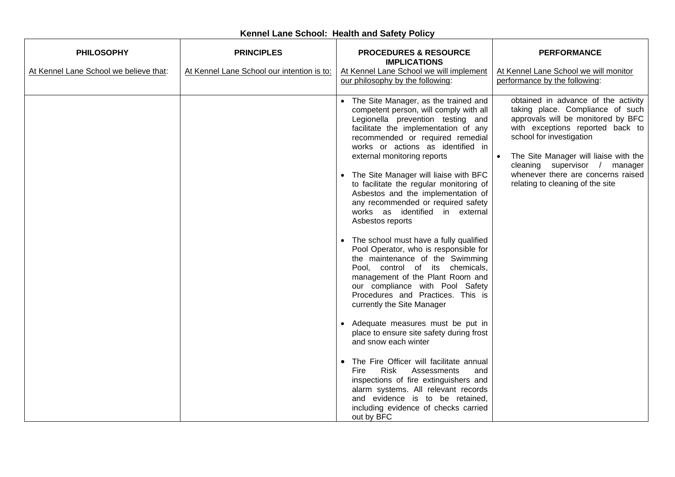| <b>PHILOSOPHY</b>                      | <b>PRINCIPLES</b>                          | <b>PROCEDURES &amp; RESOURCE</b><br><b>IMPLICATIONS</b>                                                                                                                                                                                                                                                                                                                                                                                                                                                                                                                                                                                                                                                                                                                                                                                                                                                                                                                                                                                                                                                                                                                   | <b>PERFORMANCE</b>                                                                                                                                                                                                                                                                                                                |
|----------------------------------------|--------------------------------------------|---------------------------------------------------------------------------------------------------------------------------------------------------------------------------------------------------------------------------------------------------------------------------------------------------------------------------------------------------------------------------------------------------------------------------------------------------------------------------------------------------------------------------------------------------------------------------------------------------------------------------------------------------------------------------------------------------------------------------------------------------------------------------------------------------------------------------------------------------------------------------------------------------------------------------------------------------------------------------------------------------------------------------------------------------------------------------------------------------------------------------------------------------------------------------|-----------------------------------------------------------------------------------------------------------------------------------------------------------------------------------------------------------------------------------------------------------------------------------------------------------------------------------|
| At Kennel Lane School we believe that: | At Kennel Lane School our intention is to: | At Kennel Lane School we will implement<br>our philosophy by the following:                                                                                                                                                                                                                                                                                                                                                                                                                                                                                                                                                                                                                                                                                                                                                                                                                                                                                                                                                                                                                                                                                               | At Kennel Lane School we will monitor<br>performance by the following:                                                                                                                                                                                                                                                            |
|                                        |                                            | • The Site Manager, as the trained and<br>competent person, will comply with all<br>Legionella prevention testing and<br>facilitate the implementation of any<br>recommended or required remedial<br>works or actions as identified in<br>external monitoring reports<br>• The Site Manager will liaise with BFC<br>to facilitate the regular monitoring of<br>Asbestos and the implementation of<br>any recommended or required safety<br>works as identified in external<br>Asbestos reports<br>• The school must have a fully qualified<br>Pool Operator, who is responsible for<br>the maintenance of the Swimming<br>Pool, control of its chemicals,<br>management of the Plant Room and<br>our compliance with Pool Safety<br>Procedures and Practices. This is<br>currently the Site Manager<br>• Adequate measures must be put in<br>place to ensure site safety during frost<br>and snow each winter<br>• The Fire Officer will facilitate annual<br>Fire<br>Risk<br>Assessments<br>and<br>inspections of fire extinguishers and<br>alarm systems. All relevant records<br>and evidence is to be retained,<br>including evidence of checks carried<br>out by BFC | obtained in advance of the activity<br>taking place. Compliance of such<br>approvals will be monitored by BFC<br>with exceptions reported back to<br>school for investigation<br>The Site Manager will liaise with the<br>cleaning supervisor / manager<br>whenever there are concerns raised<br>relating to cleaning of the site |